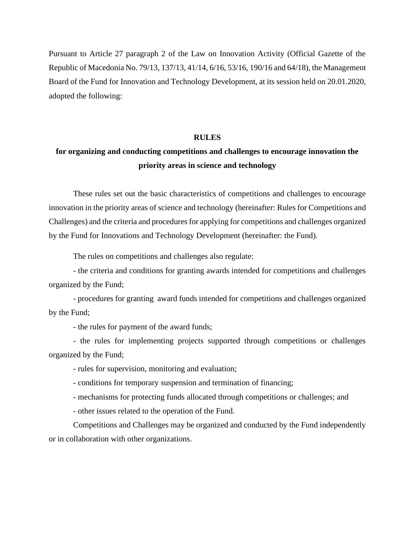Pursuant to Article 27 paragraph 2 of the Law on Innovation Activity (Official Gazette of the Republic of Macedonia No. 79/13, 137/13, 41/14, 6/16, 53/16, 190/16 and 64/18), the Management Board of the Fund for Innovation and Technology Development, at its session held on 20.01.2020, adopted the following:

## **RULES**

# **for organizing and conducting competitions and challenges to encourage innovation the priority areas in science and technology**

These rules set out the basic characteristics of competitions and challenges to encourage innovation in the priority areas of science and technology (hereinafter: Rules for Competitions and Challenges) and the criteria and procedures for applying for competitions and challenges organized by the Fund for Innovations and Technology Development (hereinafter: the Fund).

The rules on competitions and challenges also regulate:

- the criteria and conditions for granting awards intended for competitions and challenges organized by the Fund;

- procedures for granting award funds intended for competitions and challenges organized by the Fund;

- the rules for payment of the award funds;

- the rules for implementing projects supported through competitions or challenges organized by the Fund;

- rules for supervision, monitoring and evaluation;

- conditions for temporary suspension and termination of financing;

- mechanisms for protecting funds allocated through competitions or challenges; and

- other issues related to the operation of the Fund.

Competitions and Challenges may be organized and conducted by the Fund independently or in collaboration with other organizations.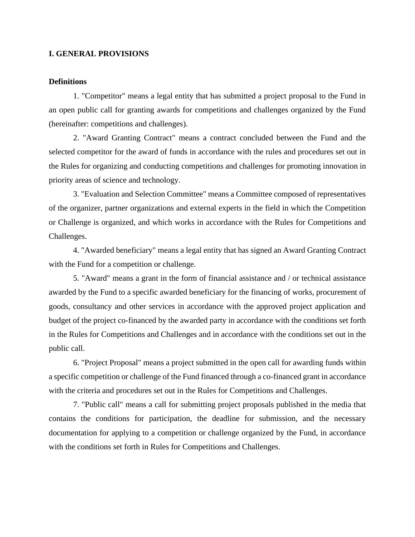# **I. GENERAL PROVISIONS**

## **Definitions**

1. "Competitor" means a legal entity that has submitted a project proposal to the Fund in an open public call for granting awards for competitions and challenges organized by the Fund (hereinafter: competitions and challenges).

2. "Award Granting Contract" means a contract concluded between the Fund and the selected competitor for the award of funds in accordance with the rules and procedures set out in the Rules for organizing and conducting competitions and challenges for promoting innovation in priority areas of science and technology.

3. "Evaluation and Selection Committee" means a Committee composed of representatives of the organizer, partner organizations and external experts in the field in which the Competition or Challenge is organized, and which works in accordance with the Rules for Competitions and Challenges.

4. "Awarded beneficiary" means a legal entity that has signed an Award Granting Contract with the Fund for a competition or challenge.

5. "Award" means a grant in the form of financial assistance and / or technical assistance awarded by the Fund to a specific awarded beneficiary for the financing of works, procurement of goods, consultancy and other services in accordance with the approved project application and budget of the project co-financed by the awarded party in accordance with the conditions set forth in the Rules for Competitions and Challenges and in accordance with the conditions set out in the public call.

6. "Project Proposal" means a project submitted in the open call for awarding funds within a specific competition or challenge of the Fund financed through a co-financed grant in accordance with the criteria and procedures set out in the Rules for Competitions and Challenges.

7. "Public call" means a call for submitting project proposals published in the media that contains the conditions for participation, the deadline for submission, and the necessary documentation for applying to a competition or challenge organized by the Fund, in accordance with the conditions set forth in Rules for Competitions and Challenges.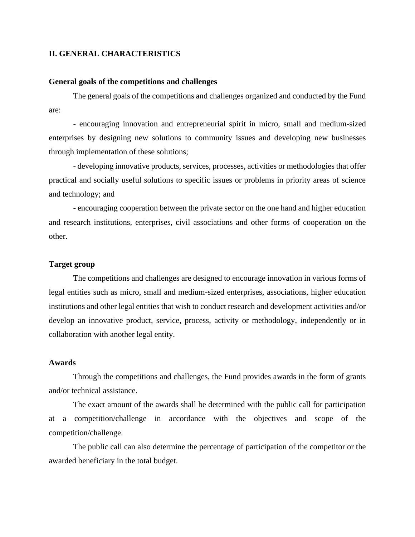# **II. GENERAL CHARACTERISTICS**

# **General goals of the competitions and challenges**

The general goals of the competitions and challenges organized and conducted by the Fund are:

- encouraging innovation and entrepreneurial spirit in micro, small and medium-sized enterprises by designing new solutions to community issues and developing new businesses through implementation of these solutions;

- developing innovative products, services, processes, activities or methodologies that offer practical and socially useful solutions to specific issues or problems in priority areas of science and technology; and

- encouraging cooperation between the private sector on the one hand and higher education and research institutions, enterprises, civil associations and other forms of cooperation on the other.

# **Target group**

The competitions and challenges are designed to encourage innovation in various forms of legal entities such as micro, small and medium-sized enterprises, associations, higher education institutions and other legal entities that wish to conduct research and development activities and/or develop an innovative product, service, process, activity or methodology, independently or in collaboration with another legal entity.

# **Awards**

Through the competitions and challenges, the Fund provides awards in the form of grants and/or technical assistance.

The exact amount of the awards shall be determined with the public call for participation at a competition/challenge in accordance with the objectives and scope of the competition/challenge.

The public call can also determine the percentage of participation of the competitor or the awarded beneficiary in the total budget.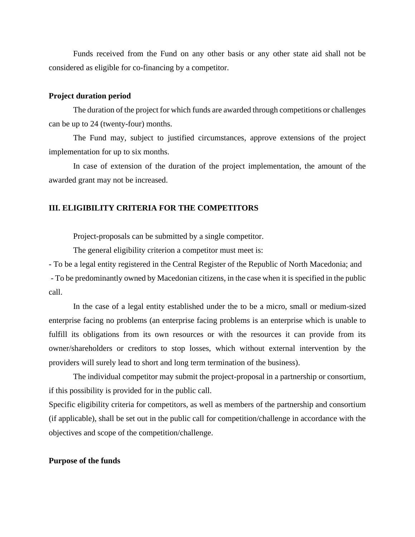Funds received from the Fund on any other basis or any other state aid shall not be considered as eligible for co-financing by a competitor.

#### **Project duration period**

The duration of the project for which funds are awarded through competitions or challenges can be up to 24 (twenty-four) months.

The Fund may, subject to justified circumstances, approve extensions of the project implementation for up to six months.

In case of extension of the duration of the project implementation, the amount of the awarded grant may not be increased.

#### **III. ELIGIBILITY CRITERIA FOR THE COMPETITORS**

Project-proposals can be submitted by a single competitor.

The general eligibility criterion a competitor must meet is:

- To be a legal entity registered in the Central Register of the Republic of North Macedonia; and - To be predominantly owned by Macedonian citizens, in the case when it is specified in the public call.

In the case of a legal entity established under the to be a micro, small or medium-sized enterprise facing no problems (an enterprise facing problems is an enterprise which is unable to fulfill its obligations from its own resources or with the resources it can provide from its owner/shareholders or creditors to stop losses, which without external intervention by the providers will surely lead to short and long term termination of the business).

The individual competitor may submit the project-proposal in a partnership or consortium, if this possibility is provided for in the public call.

Specific eligibility criteria for competitors, as well as members of the partnership and consortium (if applicable), shall be set out in the public call for competition/challenge in accordance with the objectives and scope of the competition/challenge.

# **Purpose of the funds**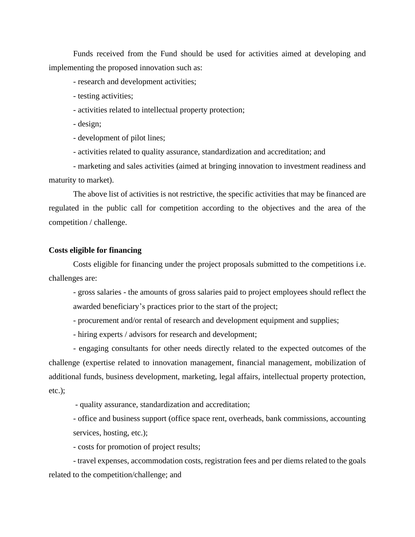Funds received from the Fund should be used for activities aimed at developing and implementing the proposed innovation such as:

- research and development activities;

- testing activities;

- activities related to intellectual property protection;

- design;

- development of pilot lines;

- activities related to quality assurance, standardization and accreditation; and

- marketing and sales activities (aimed at bringing innovation to investment readiness and maturity to market).

The above list of activities is not restrictive, the specific activities that may be financed are regulated in the public call for competition according to the objectives and the area of the competition / challenge.

# **Costs eligible for financing**

Costs eligible for financing under the project proposals submitted to the competitions i.e. challenges are:

- gross salaries - the amounts of gross salaries paid to project employees should reflect the awarded beneficiary's practices prior to the start of the project;

- procurement and/or rental of research and development equipment and supplies;

- hiring experts / advisors for research and development;

- engaging consultants for other needs directly related to the expected outcomes of the challenge (expertise related to innovation management, financial management, mobilization of additional funds, business development, marketing, legal affairs, intellectual property protection, etc.);

- quality assurance, standardization and accreditation;

- office and business support (office space rent, overheads, bank commissions, accounting services, hosting, etc.);

- costs for promotion of project results;

- travel expenses, accommodation costs, registration fees and per diems related to the goals related to the competition/challenge; and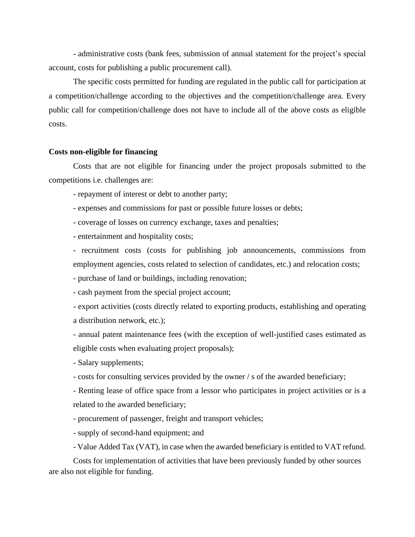- administrative costs (bank fees, submission of annual statement for the project's special account, costs for publishing a public procurement call).

The specific costs permitted for funding are regulated in the public call for participation at a competition/challenge according to the objectives and the competition/challenge area. Every public call for competition/challenge does not have to include all of the above costs as eligible costs.

#### **Costs non-eligible for financing**

Costs that are not eligible for financing under the project proposals submitted to the competitions i.e. challenges are:

- repayment of interest or debt to another party;

- expenses and commissions for past or possible future losses or debts;

- coverage of losses on currency exchange, taxes and penalties;

- entertainment and hospitality costs;

- recruitment costs (costs for publishing job announcements, commissions from employment agencies, costs related to selection of candidates, etc.) and relocation costs;

- purchase of land or buildings, including renovation;

- cash payment from the special project account;

- export activities (costs directly related to exporting products, establishing and operating a distribution network, etc.);

- annual patent maintenance fees (with the exception of well-justified cases estimated as eligible costs when evaluating project proposals);

- Salary supplements;

- costs for consulting services provided by the owner / s of the awarded beneficiary;

- Renting lease of office space from a lessor who participates in project activities or is a related to the awarded beneficiary;

- procurement of passenger, freight and transport vehicles;

- supply of second-hand equipment; and

- Value Added Tax (VAT), in case when the awarded beneficiary is entitled to VAT refund.

Costs for implementation of activities that have been previously funded by other sources are also not eligible for funding.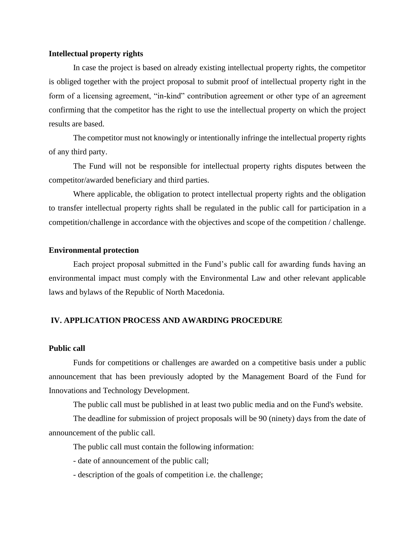#### **Intellectual property rights**

In case the project is based on already existing intellectual property rights, the competitor is obliged together with the project proposal to submit proof of intellectual property right in the form of a licensing agreement, "in-kind" contribution agreement or other type of an agreement confirming that the competitor has the right to use the intellectual property on which the project results are based.

The competitor must not knowingly or intentionally infringe the intellectual property rights of any third party.

The Fund will not be responsible for intellectual property rights disputes between the competitor/awarded beneficiary and third parties.

Where applicable, the obligation to protect intellectual property rights and the obligation to transfer intellectual property rights shall be regulated in the public call for participation in a competition/challenge in accordance with the objectives and scope of the competition / challenge.

## **Environmental protection**

Each project proposal submitted in the Fund's public call for awarding funds having an environmental impact must comply with the Environmental Law and other relevant applicable laws and bylaws of the Republic of North Macedonia.

# **IV. APPLICATION PROCESS AND AWARDING PROCEDURE**

# **Public call**

Funds for competitions or challenges are awarded on a competitive basis under a public announcement that has been previously adopted by the Management Board of the Fund for Innovations and Technology Development.

The public call must be published in at least two public media and on the Fund's website.

The deadline for submission of project proposals will be 90 (ninety) days from the date of announcement of the public call.

The public call must contain the following information:

- date of announcement of the public call;

- description of the goals of competition i.e. the challenge;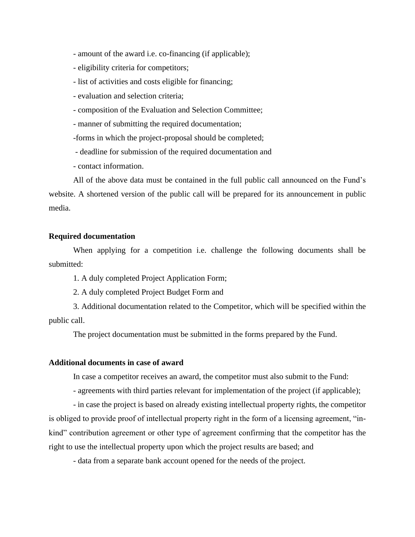- amount of the award i.e. co-financing (if applicable);
- eligibility criteria for competitors;
- list of activities and costs eligible for financing;
- evaluation and selection criteria;
- composition of the Evaluation and Selection Committee;
- manner of submitting the required documentation;

-forms in which the project-proposal should be completed;

- deadline for submission of the required documentation and

- contact information.

All of the above data must be contained in the full public call announced on the Fund's website. A shortened version of the public call will be prepared for its announcement in public media.

# **Required documentation**

When applying for a competition i.e. challenge the following documents shall be submitted:

1. A duly completed Project Application Form;

2. A duly completed Project Budget Form and

3. Additional documentation related to the Competitor, which will be specified within the public call.

The project documentation must be submitted in the forms prepared by the Fund.

# **Additional documents in case of award**

In case a competitor receives an award, the competitor must also submit to the Fund:

- agreements with third parties relevant for implementation of the project (if applicable);

- in case the project is based on already existing intellectual property rights, the competitor is obliged to provide proof of intellectual property right in the form of a licensing agreement, "inkind" contribution agreement or other type of agreement confirming that the competitor has the right to use the intellectual property upon which the project results are based; and

- data from a separate bank account opened for the needs of the project.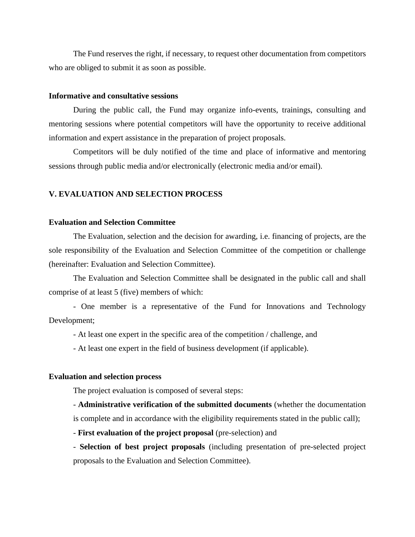The Fund reserves the right, if necessary, to request other documentation from competitors who are obliged to submit it as soon as possible.

## **Informative and consultative sessions**

During the public call, the Fund may organize info-events, trainings, consulting and mentoring sessions where potential competitors will have the opportunity to receive additional information and expert assistance in the preparation of project proposals.

Competitors will be duly notified of the time and place of informative and mentoring sessions through public media and/or electronically (electronic media and/or email).

# **V. EVALUATION AND SELECTION PROCESS**

# **Evaluation and Selection Committee**

The Evaluation, selection and the decision for awarding, i.e. financing of projects, are the sole responsibility of the Evaluation and Selection Committee of the competition or challenge (hereinafter: Evaluation and Selection Committee).

The Evaluation and Selection Committee shall be designated in the public call and shall comprise of at least 5 (five) members of which:

- One member is a representative of the Fund for Innovations and Technology Development;

- At least one expert in the specific area of the competition / challenge, and

- At least one expert in the field of business development (if applicable).

## **Evaluation and selection process**

The project evaluation is composed of several steps:

- **Administrative verification of the submitted documents** (whether the documentation is complete and in accordance with the eligibility requirements stated in the public call);

- **First evaluation of the project proposal** (pre-selection) and

- **Selection of best project proposals** (including presentation of pre-selected project proposals to the Evaluation and Selection Committee).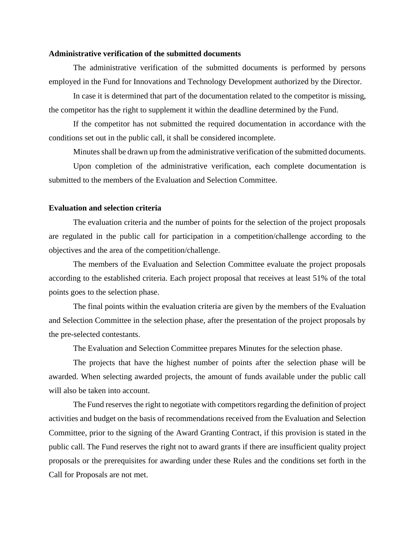## **Administrative verification of the submitted documents**

The administrative verification of the submitted documents is performed by persons employed in the Fund for Innovations and Technology Development authorized by the Director.

In case it is determined that part of the documentation related to the competitor is missing, the competitor has the right to supplement it within the deadline determined by the Fund.

If the competitor has not submitted the required documentation in accordance with the conditions set out in the public call, it shall be considered incomplete.

Minutes shall be drawn up from the administrative verification of the submitted documents.

Upon completion of the administrative verification, each complete documentation is submitted to the members of the Evaluation and Selection Committee.

#### **Evaluation and selection criteria**

The evaluation criteria and the number of points for the selection of the project proposals are regulated in the public call for participation in a competition/challenge according to the objectives and the area of the competition/challenge.

The members of the Evaluation and Selection Committee evaluate the project proposals according to the established criteria. Each project proposal that receives at least 51% of the total points goes to the selection phase.

The final points within the evaluation criteria are given by the members of the Evaluation and Selection Committee in the selection phase, after the presentation of the project proposals by the pre-selected contestants.

The Evaluation and Selection Committee prepares Minutes for the selection phase.

The projects that have the highest number of points after the selection phase will be awarded. When selecting awarded projects, the amount of funds available under the public call will also be taken into account.

The Fund reserves the right to negotiate with competitors regarding the definition of project activities and budget on the basis of recommendations received from the Evaluation and Selection Committee, prior to the signing of the Award Granting Contract, if this provision is stated in the public call. The Fund reserves the right not to award grants if there are insufficient quality project proposals or the prerequisites for awarding under these Rules and the conditions set forth in the Call for Proposals are not met.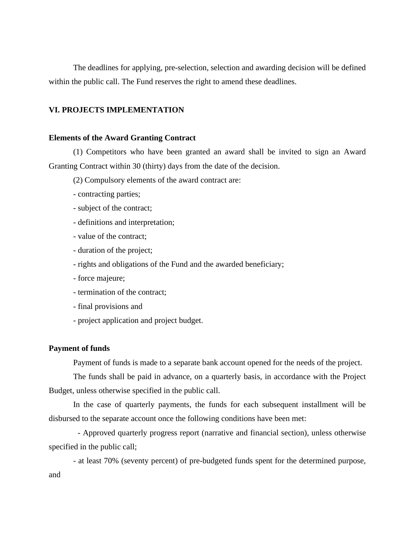The deadlines for applying, pre-selection, selection and awarding decision will be defined within the public call. The Fund reserves the right to amend these deadlines.

# **VI. PROJECTS IMPLEMENTATION**

## **Elements of the Award Granting Contract**

(1) Competitors who have been granted an award shall be invited to sign an Award Granting Contract within 30 (thirty) days from the date of the decision.

(2) Compulsory elements of the award contract are:

- contracting parties;
- subject of the contract;
- definitions and interpretation;
- value of the contract;
- duration of the project;
- rights and obligations of the Fund and the awarded beneficiary;
- force majeure;
- termination of the contract;
- final provisions and
- project application and project budget.

# **Payment of funds**

Payment of funds is made to a separate bank account opened for the needs of the project.

The funds shall be paid in advance, on a quarterly basis, in accordance with the Project Budget, unless otherwise specified in the public call.

In the case of quarterly payments, the funds for each subsequent installment will be disbursed to the separate account once the following conditions have been met:

- Approved quarterly progress report (narrative and financial section), unless otherwise specified in the public call;

- at least 70% (seventy percent) of pre-budgeted funds spent for the determined purpose, and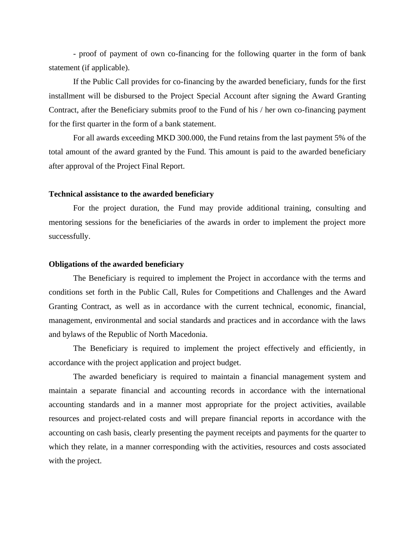- proof of payment of own co-financing for the following quarter in the form of bank statement (if applicable).

If the Public Call provides for co-financing by the awarded beneficiary, funds for the first installment will be disbursed to the Project Special Account after signing the Award Granting Contract, after the Beneficiary submits proof to the Fund of his / her own co-financing payment for the first quarter in the form of a bank statement.

For all awards exceeding MKD 300.000, the Fund retains from the last payment 5% of the total amount of the award granted by the Fund. This amount is paid to the awarded beneficiary after approval of the Project Final Report.

## **Technical assistance to the awarded beneficiary**

For the project duration, the Fund may provide additional training, consulting and mentoring sessions for the beneficiaries of the awards in order to implement the project more successfully.

## **Obligations of the awarded beneficiary**

The Beneficiary is required to implement the Project in accordance with the terms and conditions set forth in the Public Call, Rules for Competitions and Challenges and the Award Granting Contract, as well as in accordance with the current technical, economic, financial, management, environmental and social standards and practices and in accordance with the laws and bylaws of the Republic of North Macedonia.

The Beneficiary is required to implement the project effectively and efficiently, in accordance with the project application and project budget.

The awarded beneficiary is required to maintain a financial management system and maintain a separate financial and accounting records in accordance with the international accounting standards and in a manner most appropriate for the project activities, available resources and project-related costs and will prepare financial reports in accordance with the accounting on cash basis, clearly presenting the payment receipts and payments for the quarter to which they relate, in a manner corresponding with the activities, resources and costs associated with the project.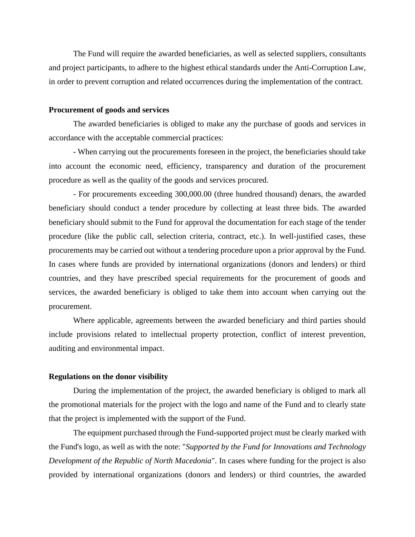The Fund will require the awarded beneficiaries, as well as selected suppliers, consultants and project participants, to adhere to the highest ethical standards under the Anti-Corruption Law, in order to prevent corruption and related occurrences during the implementation of the contract.

#### **Procurement of goods and services**

The awarded beneficiaries is obliged to make any the purchase of goods and services in accordance with the acceptable commercial practices:

- When carrying out the procurements foreseen in the project, the beneficiaries should take into account the economic need, efficiency, transparency and duration of the procurement procedure as well as the quality of the goods and services procured.

- For procurements exceeding 300,000.00 (three hundred thousand) denars, the awarded beneficiary should conduct a tender procedure by collecting at least three bids. The awarded beneficiary should submit to the Fund for approval the documentation for each stage of the tender procedure (like the public call, selection criteria, contract, etc.). In well-justified cases, these procurements may be carried out without a tendering procedure upon a prior approval by the Fund. In cases where funds are provided by international organizations (donors and lenders) or third countries, and they have prescribed special requirements for the procurement of goods and services, the awarded beneficiary is obliged to take them into account when carrying out the procurement.

Where applicable, agreements between the awarded beneficiary and third parties should include provisions related to intellectual property protection, conflict of interest prevention, auditing and environmental impact.

# **Regulations on the donor visibility**

During the implementation of the project, the awarded beneficiary is obliged to mark all the promotional materials for the project with the logo and name of the Fund and to clearly state that the project is implemented with the support of the Fund.

The equipment purchased through the Fund-supported project must be clearly marked with the Fund's logo, as well as with the note: "*Supported by the Fund for Innovations and Technology Development of the Republic of North Macedonia*". In cases where funding for the project is also provided by international organizations (donors and lenders) or third countries, the awarded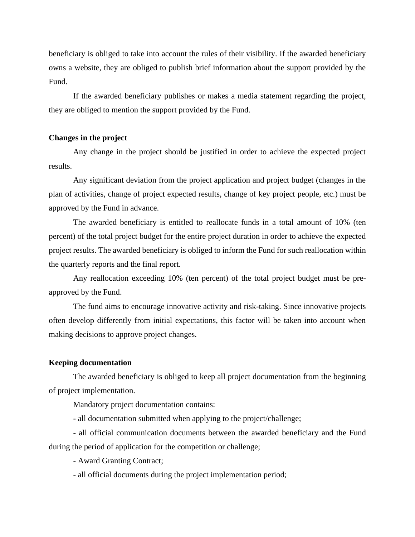beneficiary is obliged to take into account the rules of their visibility. If the awarded beneficiary owns a website, they are obliged to publish brief information about the support provided by the Fund.

If the awarded beneficiary publishes or makes a media statement regarding the project, they are obliged to mention the support provided by the Fund.

## **Changes in the project**

Any change in the project should be justified in order to achieve the expected project results.

Any significant deviation from the project application and project budget (changes in the plan of activities, change of project expected results, change of key project people, etc.) must be approved by the Fund in advance.

The awarded beneficiary is entitled to reallocate funds in a total amount of 10% (ten percent) of the total project budget for the entire project duration in order to achieve the expected project results. The awarded beneficiary is obliged to inform the Fund for such reallocation within the quarterly reports and the final report.

Any reallocation exceeding 10% (ten percent) of the total project budget must be preapproved by the Fund.

The fund aims to encourage innovative activity and risk-taking. Since innovative projects often develop differently from initial expectations, this factor will be taken into account when making decisions to approve project changes.

## **Keeping documentation**

The awarded beneficiary is obliged to keep all project documentation from the beginning of project implementation.

Mandatory project documentation contains:

- all documentation submitted when applying to the project/challenge;

- all official communication documents between the awarded beneficiary and the Fund during the period of application for the competition or challenge;

- Award Granting Contract;

- all official documents during the project implementation period;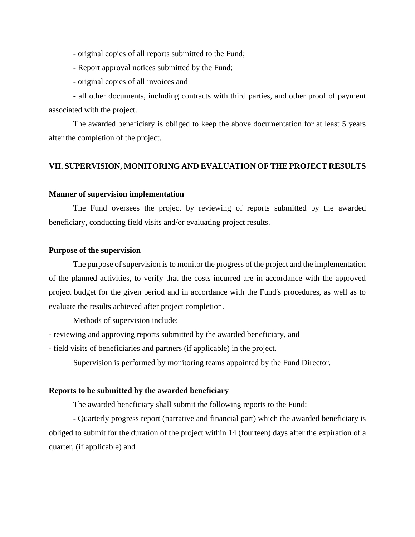- original copies of all reports submitted to the Fund;

- Report approval notices submitted by the Fund;
- original copies of all invoices and

- all other documents, including contracts with third parties, and other proof of payment associated with the project.

The awarded beneficiary is obliged to keep the above documentation for at least 5 years after the completion of the project.

# **VII. SUPERVISION, MONITORING AND EVALUATION OF THE PROJECT RESULTS**

## **Manner of supervision implementation**

The Fund oversees the project by reviewing of reports submitted by the awarded beneficiary, conducting field visits and/or evaluating project results.

# **Purpose of the supervision**

The purpose of supervision is to monitor the progress of the project and the implementation of the planned activities, to verify that the costs incurred are in accordance with the approved project budget for the given period and in accordance with the Fund's procedures, as well as to evaluate the results achieved after project completion.

Methods of supervision include:

- reviewing and approving reports submitted by the awarded beneficiary, and

- field visits of beneficiaries and partners (if applicable) in the project.

Supervision is performed by monitoring teams appointed by the Fund Director.

#### **Reports to be submitted by the awarded beneficiary**

The awarded beneficiary shall submit the following reports to the Fund:

- Quarterly progress report (narrative and financial part) which the awarded beneficiary is obliged to submit for the duration of the project within 14 (fourteen) days after the expiration of a quarter, (if applicable) and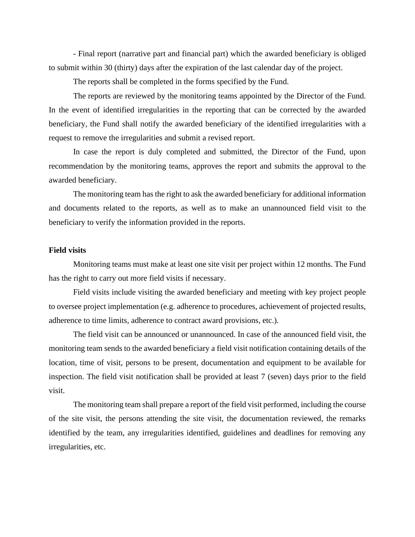- Final report (narrative part and financial part) which the awarded beneficiary is obliged to submit within 30 (thirty) days after the expiration of the last calendar day of the project.

The reports shall be completed in the forms specified by the Fund.

The reports are reviewed by the monitoring teams appointed by the Director of the Fund. In the event of identified irregularities in the reporting that can be corrected by the awarded beneficiary, the Fund shall notify the awarded beneficiary of the identified irregularities with a request to remove the irregularities and submit a revised report.

In case the report is duly completed and submitted, the Director of the Fund, upon recommendation by the monitoring teams, approves the report and submits the approval to the awarded beneficiary.

The monitoring team has the right to ask the awarded beneficiary for additional information and documents related to the reports, as well as to make an unannounced field visit to the beneficiary to verify the information provided in the reports.

# **Field visits**

Monitoring teams must make at least one site visit per project within 12 months. The Fund has the right to carry out more field visits if necessary.

Field visits include visiting the awarded beneficiary and meeting with key project people to oversee project implementation (e.g. adherence to procedures, achievement of projected results, adherence to time limits, adherence to contract award provisions, etc.).

The field visit can be announced or unannounced. In case of the announced field visit, the monitoring team sends to the awarded beneficiary a field visit notification containing details of the location, time of visit, persons to be present, documentation and equipment to be available for inspection. The field visit notification shall be provided at least 7 (seven) days prior to the field visit.

The monitoring team shall prepare a report of the field visit performed, including the course of the site visit, the persons attending the site visit, the documentation reviewed, the remarks identified by the team, any irregularities identified, guidelines and deadlines for removing any irregularities, etc.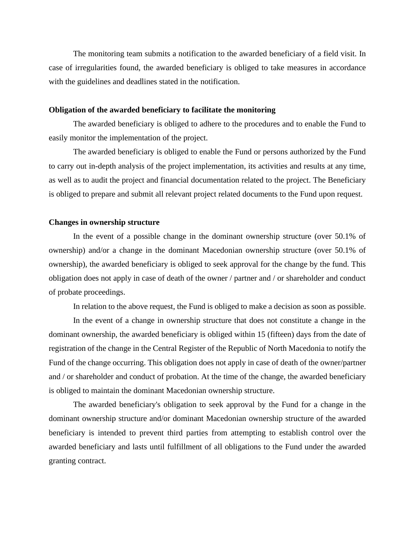The monitoring team submits a notification to the awarded beneficiary of a field visit. In case of irregularities found, the awarded beneficiary is obliged to take measures in accordance with the guidelines and deadlines stated in the notification.

## **Obligation of the awarded beneficiary to facilitate the monitoring**

The awarded beneficiary is obliged to adhere to the procedures and to enable the Fund to easily monitor the implementation of the project.

The awarded beneficiary is obliged to enable the Fund or persons authorized by the Fund to carry out in-depth analysis of the project implementation, its activities and results at any time, as well as to audit the project and financial documentation related to the project. The Beneficiary is obliged to prepare and submit all relevant project related documents to the Fund upon request.

#### **Changes in ownership structure**

In the event of a possible change in the dominant ownership structure (over 50.1% of ownership) and/or a change in the dominant Macedonian ownership structure (over 50.1% of ownership), the awarded beneficiary is obliged to seek approval for the change by the fund. This obligation does not apply in case of death of the owner / partner and / or shareholder and conduct of probate proceedings.

In relation to the above request, the Fund is obliged to make a decision as soon as possible.

In the event of a change in ownership structure that does not constitute a change in the dominant ownership, the awarded beneficiary is obliged within 15 (fifteen) days from the date of registration of the change in the Central Register of the Republic of North Macedonia to notify the Fund of the change occurring. This obligation does not apply in case of death of the owner/partner and / or shareholder and conduct of probation. At the time of the change, the awarded beneficiary is obliged to maintain the dominant Macedonian ownership structure.

The awarded beneficiary's obligation to seek approval by the Fund for a change in the dominant ownership structure and/or dominant Macedonian ownership structure of the awarded beneficiary is intended to prevent third parties from attempting to establish control over the awarded beneficiary and lasts until fulfillment of all obligations to the Fund under the awarded granting contract.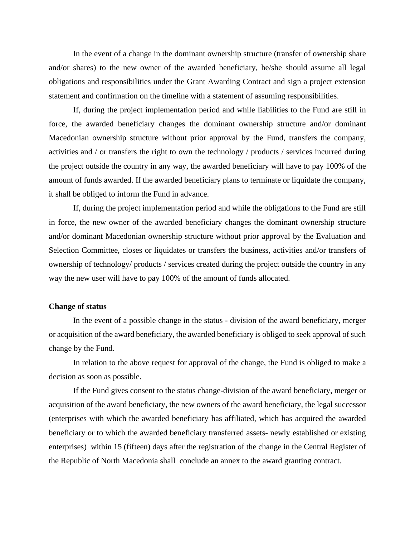In the event of a change in the dominant ownership structure (transfer of ownership share and/or shares) to the new owner of the awarded beneficiary, he/she should assume all legal obligations and responsibilities under the Grant Awarding Contract and sign a project extension statement and confirmation on the timeline with a statement of assuming responsibilities.

If, during the project implementation period and while liabilities to the Fund are still in force, the awarded beneficiary changes the dominant ownership structure and/or dominant Macedonian ownership structure without prior approval by the Fund, transfers the company, activities and / or transfers the right to own the technology / products / services incurred during the project outside the country in any way, the awarded beneficiary will have to pay 100% of the amount of funds awarded. If the awarded beneficiary plans to terminate or liquidate the company, it shall be obliged to inform the Fund in advance.

If, during the project implementation period and while the obligations to the Fund are still in force, the new owner of the awarded beneficiary changes the dominant ownership structure and/or dominant Macedonian ownership structure without prior approval by the Evaluation and Selection Committee, closes or liquidates or transfers the business, activities and/or transfers of ownership of technology/ products / services created during the project outside the country in any way the new user will have to pay 100% of the amount of funds allocated.

# **Change of status**

In the event of a possible change in the status - division of the award beneficiary, merger or acquisition of the award beneficiary, the awarded beneficiary is obliged to seek approval of such change by the Fund.

In relation to the above request for approval of the change, the Fund is obliged to make a decision as soon as possible.

If the Fund gives consent to the status change-division of the award beneficiary, merger or acquisition of the award beneficiary, the new owners of the award beneficiary, the legal successor (enterprises with which the awarded beneficiary has affiliated, which has acquired the awarded beneficiary or to which the awarded beneficiary transferred assets- newly established or existing enterprises) within 15 (fifteen) days after the registration of the change in the Central Register of the Republic of North Macedonia shall conclude an annex to the award granting contract.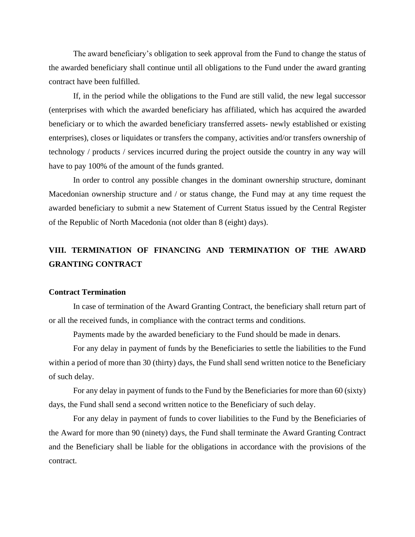The award beneficiary's obligation to seek approval from the Fund to change the status of the awarded beneficiary shall continue until all obligations to the Fund under the award granting contract have been fulfilled.

If, in the period while the obligations to the Fund are still valid, the new legal successor (enterprises with which the awarded beneficiary has affiliated, which has acquired the awarded beneficiary or to which the awarded beneficiary transferred assets- newly established or existing enterprises), closes or liquidates or transfers the company, activities and/or transfers ownership of technology / products / services incurred during the project outside the country in any way will have to pay 100% of the amount of the funds granted.

In order to control any possible changes in the dominant ownership structure, dominant Macedonian ownership structure and / or status change, the Fund may at any time request the awarded beneficiary to submit a new Statement of Current Status issued by the Central Register of the Republic of North Macedonia (not older than 8 (eight) days).

# **VIII. TERMINATION OF FINANCING AND TERMINATION OF THE AWARD GRANTING CONTRACT**

## **Contract Termination**

In case of termination of the Award Granting Contract, the beneficiary shall return part of or all the received funds, in compliance with the contract terms and conditions.

Payments made by the awarded beneficiary to the Fund should be made in denars.

For any delay in payment of funds by the Beneficiaries to settle the liabilities to the Fund within a period of more than 30 (thirty) days, the Fund shall send written notice to the Beneficiary of such delay.

For any delay in payment of funds to the Fund by the Beneficiaries for more than 60 (sixty) days, the Fund shall send a second written notice to the Beneficiary of such delay.

For any delay in payment of funds to cover liabilities to the Fund by the Beneficiaries of the Award for more than 90 (ninety) days, the Fund shall terminate the Award Granting Contract and the Beneficiary shall be liable for the obligations in accordance with the provisions of the contract.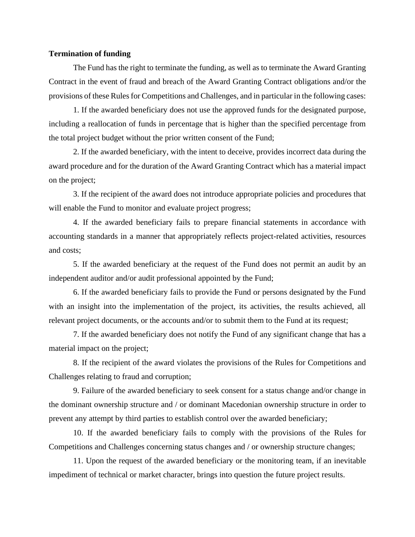# **Termination of funding**

The Fund has the right to terminate the funding, as well as to terminate the Award Granting Contract in the event of fraud and breach of the Award Granting Contract obligations and/or the provisions of these Rules for Competitions and Challenges, and in particular in the following cases:

1. If the awarded beneficiary does not use the approved funds for the designated purpose, including a reallocation of funds in percentage that is higher than the specified percentage from the total project budget without the prior written consent of the Fund;

2. If the awarded beneficiary, with the intent to deceive, provides incorrect data during the award procedure and for the duration of the Award Granting Contract which has a material impact on the project;

3. If the recipient of the award does not introduce appropriate policies and procedures that will enable the Fund to monitor and evaluate project progress;

4. If the awarded beneficiary fails to prepare financial statements in accordance with accounting standards in a manner that appropriately reflects project-related activities, resources and costs;

5. If the awarded beneficiary at the request of the Fund does not permit an audit by an independent auditor and/or audit professional appointed by the Fund;

6. If the awarded beneficiary fails to provide the Fund or persons designated by the Fund with an insight into the implementation of the project, its activities, the results achieved, all relevant project documents, or the accounts and/or to submit them to the Fund at its request;

7. If the awarded beneficiary does not notify the Fund of any significant change that has a material impact on the project;

8. If the recipient of the award violates the provisions of the Rules for Competitions and Challenges relating to fraud and corruption;

9. Failure of the awarded beneficiary to seek consent for a status change and/or change in the dominant ownership structure and / or dominant Macedonian ownership structure in order to prevent any attempt by third parties to establish control over the awarded beneficiary;

10. If the awarded beneficiary fails to comply with the provisions of the Rules for Competitions and Challenges concerning status changes and / or ownership structure changes;

11. Upon the request of the awarded beneficiary or the monitoring team, if an inevitable impediment of technical or market character, brings into question the future project results.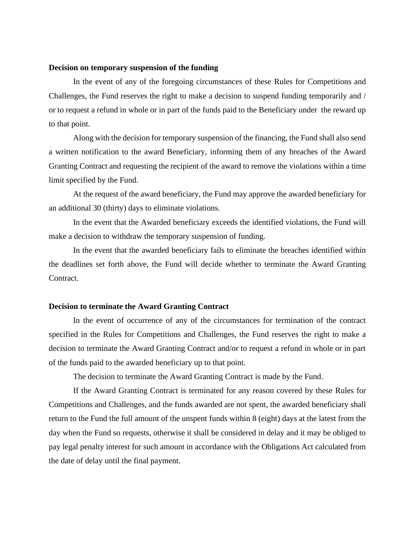#### **Decision on temporary suspension of the funding**

In the event of any of the foregoing circumstances of these Rules for Competitions and Challenges, the Fund reserves the right to make a decision to suspend funding temporarily and / or to request a refund in whole or in part of the funds paid to the Beneficiary under the reward up to that point.

Along with the decision for temporary suspension of the financing, the Fund shall also send a written notification to the award Beneficiary, informing them of any breaches of the Award Granting Contract and requesting the recipient of the award to remove the violations within a time limit specified by the Fund.

At the request of the award beneficiary, the Fund may approve the awarded beneficiary for an additional 30 (thirty) days to eliminate violations.

In the event that the Awarded beneficiary exceeds the identified violations, the Fund will make a decision to withdraw the temporary suspension of funding.

In the event that the awarded beneficiary fails to eliminate the breaches identified within the deadlines set forth above, the Fund will decide whether to terminate the Award Granting Contract.

# **Decision to terminate the Award Granting Contract**

In the event of occurrence of any of the circumstances for termination of the contract specified in the Rules for Competitions and Challenges, the Fund reserves the right to make a decision to terminate the Award Granting Contract and/or to request a refund in whole or in part of the funds paid to the awarded beneficiary up to that point.

The decision to terminate the Award Granting Contract is made by the Fund.

If the Award Granting Contract is terminated for any reason covered by these Rules for Competitions and Challenges, and the funds awarded are not spent, the awarded beneficiary shall return to the Fund the full amount of the unspent funds within 8 (eight) days at the latest from the day when the Fund so requests, otherwise it shall be considered in delay and it may be obliged to pay legal penalty interest for such amount in accordance with the Obligations Act calculated from the date of delay until the final payment.